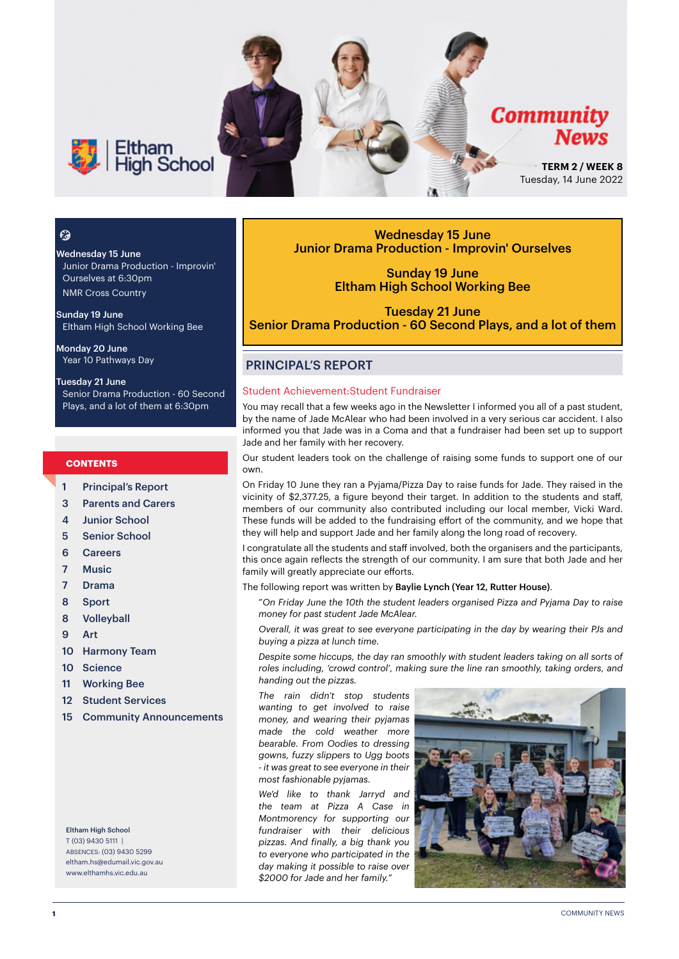

# $\mathcal{C}$

Wednesday 15 June Junior Drama Production - Improvin' Ourselves at 6:30pm NMR Cross Country

Sunday 19 June Eltham High School Working Bee

Monday 20 June Year 10 Pathways Day

#### Tuesday 21 June Senior Drama Production - 60 Second Plays, and a lot of them at 6:30pm

#### **CONTENTS**

- 1 Principal's Report
- 3 Parents and Carers
- 4 Junior School
- 5 Senior School
- 6 Careers
- 7 Music
- 7 Drama
- 8 Sport
- 8 Volleyball
- 9 Art
- 10 Harmony Team
- 10 Science
- 11 Working Bee
- 12 Student Services
- 15 Community Announcements

Eltham High School T (03) 9430 5111 | ABSENCES: (03) 9430 5299 [eltham.hs@edumail.vic.gov.au](mailto:eltham.hs@edumail.vic.gov.au) [www.elthamhs.vic.edu.au](http://www.elthamhs.vic.edu.au)

Wednesday 15 June Junior Drama Production - Improvin' Ourselves

> Sunday 19 June Eltham High School Working Bee

Tuesday 21 June Senior Drama Production - 60 Second Plays, and a lot of them

# PRINCIPAL'S REPORT

#### Student Achievement:Student Fundraiser

You may recall that a few weeks ago in the Newsletter I informed you all of a past student, by the name of Jade McAlear who had been involved in a very serious car accident. I also informed you that Jade was in a Coma and that a fundraiser had been set up to support Jade and her family with her recovery.

Our student leaders took on the challenge of raising some funds to support one of our own.

On Friday 10 June they ran a Pyjama/Pizza Day to raise funds for Jade. They raised in the vicinity of \$2,377.25, a figure beyond their target. In addition to the students and staff, members of our community also contributed including our local member, Vicki Ward. These funds will be added to the fundraising effort of the community, and we hope that they will help and support Jade and her family along the long road of recovery.

I congratulate all the students and staff involved, both the organisers and the participants, this once again reflects the strength of our community. I am sure that both Jade and her family will greatly appreciate our efforts.

The following report was written by Baylie Lynch (Year 12, Rutter House).

"*On Friday June the 10th the student leaders organised Pizza and Pyjama Day to raise money for past student Jade McAlear.* 

*Overall, it was great to see everyone participating in the day by wearing their PJs and buying a pizza at lunch time.* 

*Despite some hiccups, the day ran smoothly with student leaders taking on all sorts of roles including, 'crowd control', making sure the line ran smoothly, taking orders, and handing out the pizzas.* 

*The rain didn't stop students wanting to get involved to raise money, and wearing their pyjamas made the cold weather more bearable. From Oodies to dressing gowns, fuzzy slippers to Ugg boots - it was great to see everyone in their most fashionable pyjamas.* 

*We'd like to thank Jarryd and the team at Pizza A Case in Montmorency for supporting our fundraiser with their delicious pizzas. And finally, a big thank you to everyone who participated in the day making it possible to raise over \$2000 for Jade and her family.*"

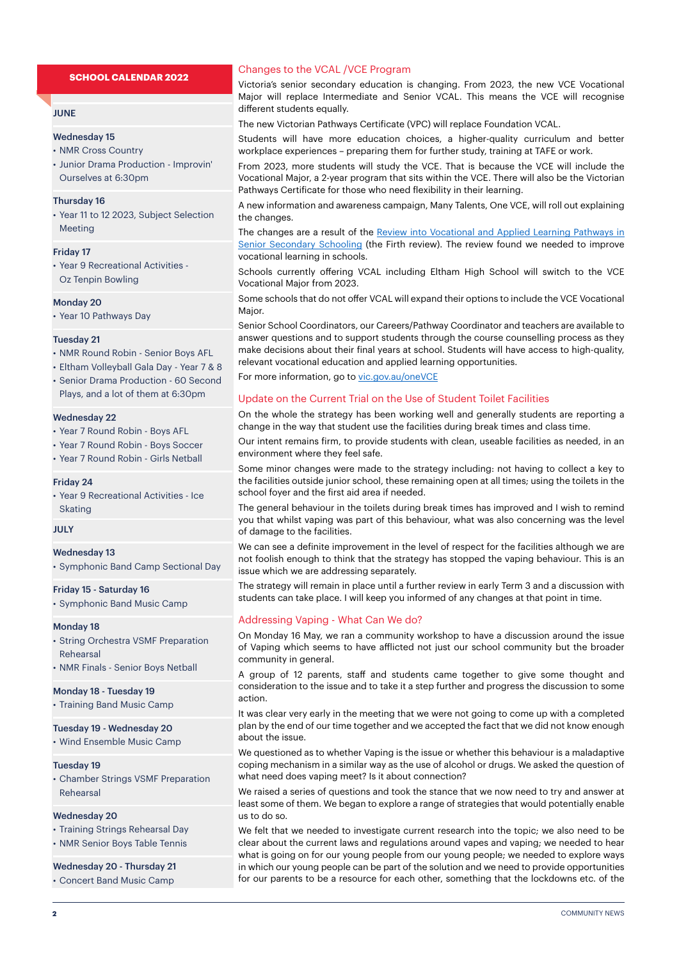#### **JUNE**

#### Wednesday 15

- NMR Cross Country
- Junior Drama Production Improvin' Ourselves at 6:30pm

#### Thursday 16

• Year 11 to 12 2023, Subject Selection Meeting

#### Friday 17

• Year 9 Recreational Activities - Oz Tenpin Bowling

#### Monday 20

• Year 10 Pathways Day

#### Tuesday 21

- NMR Round Robin Senior Boys AFL
- Eltham Volleyball Gala Day Year 7 & 8 • Senior Drama Production - 60 Second
- Plays, and a lot of them at 6:30pm

#### Wednesday 22

- Year 7 Round Robin Boys AFL
- Year 7 Round Robin Boys Soccer
- Year 7 Round Robin Girls Netball

#### Friday 24

• Year 9 Recreational Activities - Ice Skating

JULY

#### Wednesday 13

• Symphonic Band Camp Sectional Day

#### Friday 15 - Saturday 16

• Symphonic Band Music Camp

#### Monday 18

- String Orchestra VSMF Preparation Rehearsal
- NMR Finals Senior Boys Netball

#### Monday 18 - Tuesday 19

• Training Band Music Camp

#### Tuesday 19 - Wednesday 20

• Wind Ensemble Music Camp

#### Tuesday 19

• Chamber Strings VSMF Preparation Rehearsal

#### Wednesday 20

- Training Strings Rehearsal Day
- NMR Senior Boys Table Tennis

### Wednesday 20 - Thursday 21

• Concert Band Music Camp

#### Changes to the VCAL /VCE Program

Victoria's senior secondary education is changing. From 2023, the new VCE Vocational Major will replace Intermediate and Senior VCAL. This means the VCE will recognise different students equally.

The new Victorian Pathways Certificate (VPC) will replace Foundation VCAL.

Students will have more education choices, a higher-quality curriculum and better workplace experiences – preparing them for further study, training at TAFE or work.

From 2023, more students will study the VCE. That is because the VCE will include the Vocational Major, a 2-year program that sits within the VCE. There will also be the Victorian Pathways Certificate for those who need flexibility in their learning.

A new information and awareness campaign, Many Talents, One VCE, will roll out explaining the changes.

The changes are a result of the Review into Vocational and Applied Learning Pathways in [Senior Secondary Schooling](https://www.vic.gov.au/review-vocational-and-applied-learning-pathways-senior-secondary-schooling) (the Firth review). The review found we needed to improve vocational learning in schools.

Schools currently offering VCAL including Eltham High School will switch to the VCE Vocational Major from 2023.

Some schools that do not offer VCAL will expand their options to include the VCE Vocational Major.

Senior School Coordinators, our Careers/Pathway Coordinator and teachers are available to answer questions and to support students through the course counselling process as they make decisions about their final years at school. Students will have access to high-quality, relevant vocational education and applied learning opportunities.

For more information, go to [vic.gov.au/oneVCE](http://vic.gov.au/oneVCE)

#### Update on the Current Trial on the Use of Student Toilet Facilities

On the whole the strategy has been working well and generally students are reporting a change in the way that student use the facilities during break times and class time.

Our intent remains firm, to provide students with clean, useable facilities as needed, in an environment where they feel safe.

Some minor changes were made to the strategy including: not having to collect a key to the facilities outside junior school, these remaining open at all times; using the toilets in the school foyer and the first aid area if needed.

The general behaviour in the toilets during break times has improved and I wish to remind you that whilst vaping was part of this behaviour, what was also concerning was the level of damage to the facilities.

We can see a definite improvement in the level of respect for the facilities although we are not foolish enough to think that the strategy has stopped the vaping behaviour. This is an issue which we are addressing separately.

The strategy will remain in place until a further review in early Term 3 and a discussion with students can take place. I will keep you informed of any changes at that point in time.

### Addressing Vaping - What Can We do?

On Monday 16 May, we ran a community workshop to have a discussion around the issue of Vaping which seems to have afflicted not just our school community but the broader community in general.

A group of 12 parents, staff and students came together to give some thought and consideration to the issue and to take it a step further and progress the discussion to some action.

It was clear very early in the meeting that we were not going to come up with a completed plan by the end of our time together and we accepted the fact that we did not know enough about the issue.

We questioned as to whether Vaping is the issue or whether this behaviour is a maladaptive coping mechanism in a similar way as the use of alcohol or drugs. We asked the question of what need does vaping meet? Is it about connection?

We raised a series of questions and took the stance that we now need to try and answer at least some of them. We began to explore a range of strategies that would potentially enable us to do so.

We felt that we needed to investigate current research into the topic; we also need to be clear about the current laws and regulations around vapes and vaping; we needed to hear what is going on for our young people from our young people; we needed to explore ways in which our young people can be part of the solution and we need to provide opportunities for our parents to be a resource for each other, something that the lockdowns etc. of the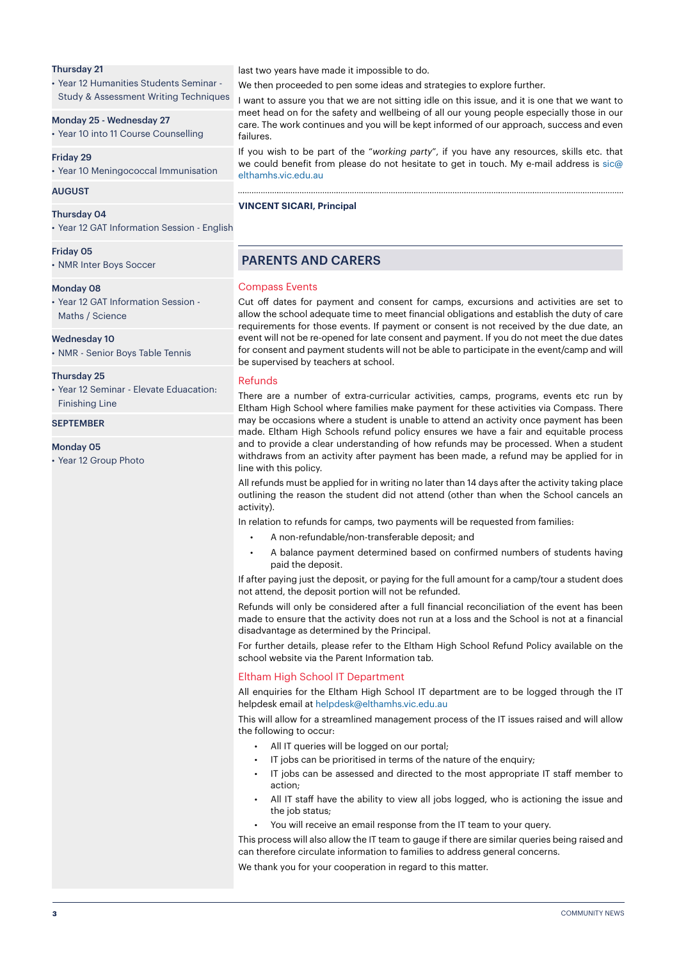#### Thursday 21

• Year 12 Humanities Students Seminar - Study & Assessment Writing Techniques

#### Monday 25 - Wednesday 27

• Year 10 into 11 Course Counselling

#### Friday 29

• Year 10 Meningococcal Immunisation

#### AUGUST

#### Thursday 04

• Year 12 GAT Information Session - English

#### Friday 05

• NMR Inter Boys Soccer

#### Monday 08

• Year 12 GAT Information Session - Maths / Science

#### Wednesday 10

• NMR - Senior Boys Table Tennis

#### Thursday 25

• Year 12 Seminar - Elevate Eduacation: Finishing Line

#### **SEPTEMBER**

Monday 05

• Year 12 Group Photo

last two years have made it impossible to do.

We then proceeded to pen some ideas and strategies to explore further.

I want to assure you that we are not sitting idle on this issue, and it is one that we want to meet head on for the safety and wellbeing of all our young people especially those in our care. The work continues and you will be kept informed of our approach, success and even failures.

If you wish to be part of the "*working party*", if you have any resources, skills etc. that we could benefit from please do not hesitate to get in touch. My e-mail address is sic@ elthamhs.vic.edu.au

# **VINCENT SICARI, Principal**

# PARENTS AND CARERS

#### Compass Events

Cut off dates for payment and consent for camps, excursions and activities are set to allow the school adequate time to meet financial obligations and establish the duty of care requirements for those events. If payment or consent is not received by the due date, an event will not be re-opened for late consent and payment. If you do not meet the due dates for consent and payment students will not be able to participate in the event/camp and will be supervised by teachers at school.

#### Refunds

There are a number of extra-curricular activities, camps, programs, events etc run by Eltham High School where families make payment for these activities via Compass. There may be occasions where a student is unable to attend an activity once payment has been made. Eltham High Schools refund policy ensures we have a fair and equitable process and to provide a clear understanding of how refunds may be processed. When a student withdraws from an activity after payment has been made, a refund may be applied for in line with this policy.

All refunds must be applied for in writing no later than 14 days after the activity taking place outlining the reason the student did not attend (other than when the School cancels an activity).

In relation to refunds for camps, two payments will be requested from families:

- A non-refundable/non-transferable deposit; and
- A balance payment determined based on confirmed numbers of students having paid the deposit.

If after paying just the deposit, or paying for the full amount for a camp/tour a student does not attend, the deposit portion will not be refunded.

Refunds will only be considered after a full financial reconciliation of the event has been made to ensure that the activity does not run at a loss and the School is not at a financial disadvantage as determined by the Principal.

For further details, please refer to the Eltham High School Refund Policy available on the school website via the Parent Information tab.

#### Eltham High School IT Department

All enquiries for the Eltham High School IT department are to be logged through the IT helpdesk email at helpdesk@elthamhs.vic.edu.au

This will allow for a streamlined management process of the IT issues raised and will allow the following to occur:

- All IT queries will be logged on our portal;
- IT jobs can be prioritised in terms of the nature of the enquiry;
- IT jobs can be assessed and directed to the most appropriate IT staff member to action;
- All IT staff have the ability to view all jobs logged, who is actioning the issue and the job status;
- You will receive an email response from the IT team to your query.

This process will also allow the IT team to gauge if there are similar queries being raised and can therefore circulate information to families to address general concerns.

We thank you for your cooperation in regard to this matter.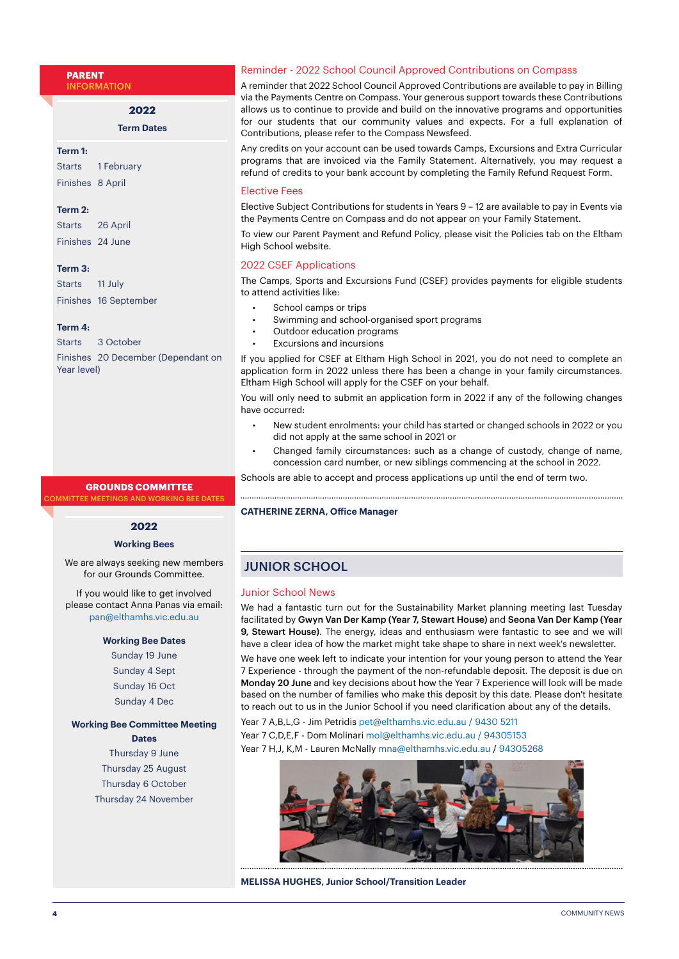**PARENT** INFORMATION

**2022**

**Term Dates**

**Term 1:**

Starts 1 February Finishes 8 April

#### **Term 2:**

Starts 26 April Finishes 24 June

#### **Term 3:**

Starts 11 July Finishes 16 September

#### **Term 4:**

Starts 3 October Finishes 20 December (Dependant on Year level)

#### **GROUNDS COMMITTEE**

MITTEE MEETINGS AND WORKING BEE DATES

# **2022**

#### **Working Bees**

We are always seeking new members for our Grounds Committee.

If you would like to get involved please contact Anna Panas via email: pan@elthamhs.vic.edu.au

### **Working Bee Dates**

Sunday 19 June Sunday 4 Sept Sunday 16 Oct Sunday 4 Dec

**Working Bee Committee Meeting Dates**

Thursday 9 June Thursday 25 August Thursday 6 October Thursday 24 November

#### Reminder - 2022 School Council Approved Contributions on Compass

A reminder that 2022 School Council Approved Contributions are available to pay in Billing via the Payments Centre on Compass. Your generous support towards these Contributions allows us to continue to provide and build on the innovative programs and opportunities for our students that our community values and expects. For a full explanation of Contributions, please refer to the Compass Newsfeed.

Any credits on your account can be used towards Camps, Excursions and Extra Curricular programs that are invoiced via the Family Statement. Alternatively, you may request a refund of credits to your bank account by completing the Family Refund Request Form.

#### Elective Fees

Elective Subject Contributions for students in Years 9 – 12 are available to pay in Events via the Payments Centre on Compass and do not appear on your Family Statement.

To view our Parent Payment and Refund Policy, please visit the Policies tab on the Eltham High School website.

#### 2022 CSEF Applications

The Camps, Sports and Excursions Fund (CSEF) provides payments for eligible students to attend activities like:

- School camps or trips
- Swimming and school-organised sport programs
- Outdoor education programs
- Excursions and incursions

If you applied for CSEF at Eltham High School in 2021, you do not need to complete an application form in 2022 unless there has been a change in your family circumstances. Eltham High School will apply for the CSEF on your behalf.

You will only need to submit an application form in 2022 if any of the following changes have occurred:

- New student enrolments: your child has started or changed schools in 2022 or you did not apply at the same school in 2021 or
- Changed family circumstances: such as a change of custody, change of name, concession card number, or new siblings commencing at the school in 2022.

Schools are able to accept and process applications up until the end of term two.

#### **CATHERINE ZERNA, Office Manager**

# JUNIOR SCHOOL

#### Junior School News

We had a fantastic turn out for the Sustainability Market planning meeting last Tuesday facilitated by Gwyn Van Der Kamp (Year 7, Stewart House) and Seona Van Der Kamp (Year 9, Stewart House). The energy, ideas and enthusiasm were fantastic to see and we will have a clear idea of how the market might take shape to share in next week's newsletter.

We have one week left to indicate your intention for your young person to attend the Year 7 Experience - through the payment of the non-refundable deposit. The deposit is due on Monday 20 June and key decisions about how the Year 7 Experience will look will be made based on the number of families who make this deposit by this date. Please don't hesitate to reach out to us in the Junior School if you need clarification about any of the details.

Year 7 A,B,L,G - Jim Petridis pet@elthamhs.vic.edu.au / 9430 5211 Year 7 C,D,E,F - Dom Molinari mol@elthamhs.vic.edu.au / 94305153 Year 7 H,J, K,M - Lauren McNally mna@elthamhs.vic.edu.au / 94305268



**MELISSA HUGHES, Junior School/Transition Leader**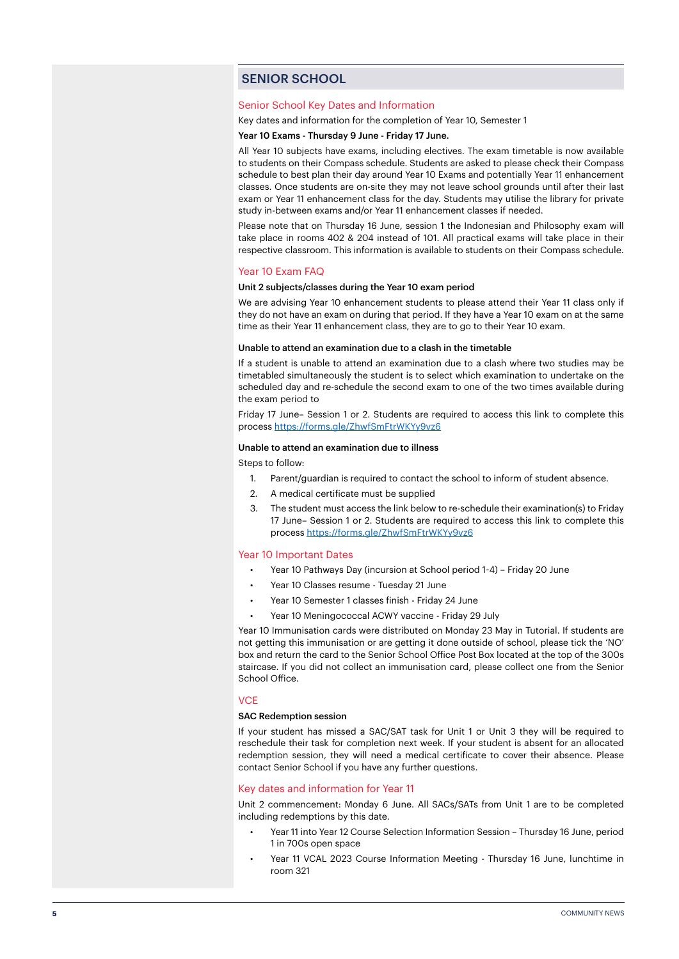# SENIOR SCHOOL

#### Senior School Key Dates and Information

Key dates and information for the completion of Year 10, Semester 1

#### Year 10 Exams - Thursday 9 June - Friday 17 June.

All Year 10 subjects have exams, including electives. The exam timetable is now available to students on their Compass schedule. Students are asked to please check their Compass schedule to best plan their day around Year 10 Exams and potentially Year 11 enhancement classes. Once students are on-site they may not leave school grounds until after their last exam or Year 11 enhancement class for the day. Students may utilise the library for private study in-between exams and/or Year 11 enhancement classes if needed.

Please note that on Thursday 16 June, session 1 the Indonesian and Philosophy exam will take place in rooms 402 & 204 instead of 101. All practical exams will take place in their respective classroom. This information is available to students on their Compass schedule.

#### Year 10 Exam FAQ

#### Unit 2 subjects/classes during the Year 10 exam period

We are advising Year 10 enhancement students to please attend their Year 11 class only if they do not have an exam on during that period. If they have a Year 10 exam on at the same time as their Year 11 enhancement class, they are to go to their Year 10 exam.

#### Unable to attend an examination due to a clash in the timetable

If a student is unable to attend an examination due to a clash where two studies may be timetabled simultaneously the student is to select which examination to undertake on the scheduled day and re-schedule the second exam to one of the two times available during the exam period to

Friday 17 June– Session 1 or 2. Students are required to access this link to complete this process <https://forms.gle/ZhwfSmFtrWKYy9vz6>

#### Unable to attend an examination due to illness

Steps to follow:

- 1. Parent/guardian is required to contact the school to inform of student absence.
- 2. A medical certificate must be supplied
- 3. The student must access the link below to re-schedule their examination(s) to Friday 17 June– Session 1 or 2. Students are required to access this link to complete this process<https://forms.gle/ZhwfSmFtrWKYy9vz6>

#### Year 10 Important Dates

- Year 10 Pathways Day (incursion at School period 1-4) Friday 20 June
- Year 10 Classes resume Tuesday 21 June
- Year 10 Semester 1 classes finish Friday 24 June
- Year 10 Meningococcal ACWY vaccine Friday 29 July

Year 10 Immunisation cards were distributed on Monday 23 May in Tutorial. If students are not getting this immunisation or are getting it done outside of school, please tick the 'NO' box and return the card to the Senior School Office Post Box located at the top of the 300s staircase. If you did not collect an immunisation card, please collect one from the Senior School Office.

#### **VCE**

#### SAC Redemption session

If your student has missed a SAC/SAT task for Unit 1 or Unit 3 they will be required to reschedule their task for completion next week. If your student is absent for an allocated redemption session, they will need a medical certificate to cover their absence. Please contact Senior School if you have any further questions.

#### Key dates and information for Year 11

Unit 2 commencement: Monday 6 June. All SACs/SATs from Unit 1 are to be completed including redemptions by this date.

- Year 11 into Year 12 Course Selection Information Session Thursday 16 June, period 1 in 700s open space
- Year 11 VCAL 2023 Course Information Meeting Thursday 16 June, lunchtime in room 321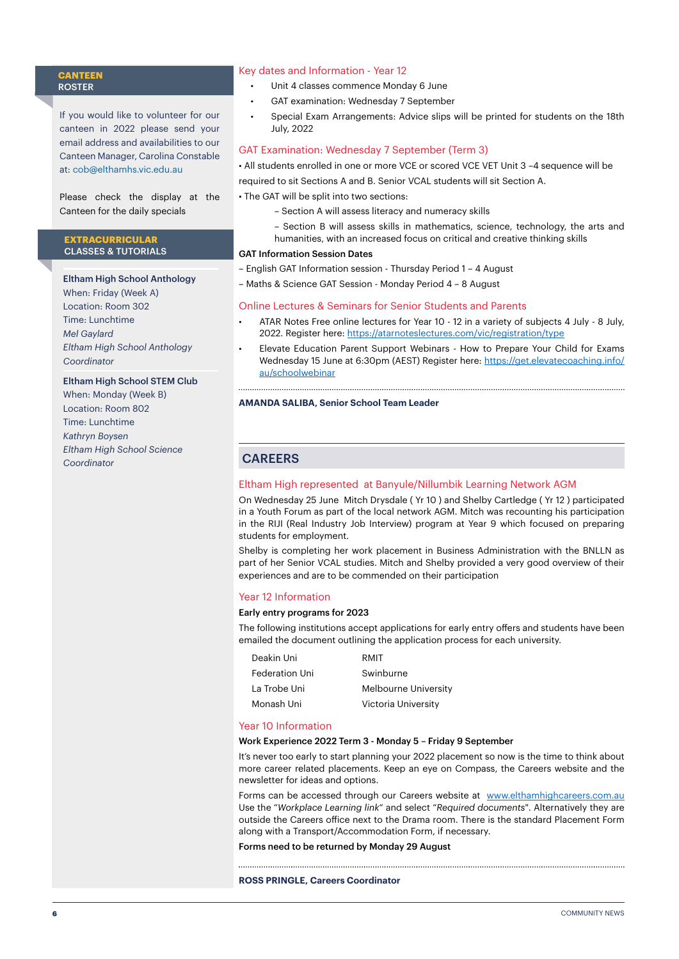#### **CANTEEN** ROSTER

If you would like to volunteer for our canteen in 2022 please send your email address and availabilities to our Canteen Manager, Carolina Constable at: [cob@elthamhs.vic.edu.au](mailto:cob@elthamhs.vic.edu.au)

Please check the display at the Canteen for the daily specials

#### **EXTRACURRICULAR**  CLASSES & TUTORIALS

# Eltham High School Anthology

When: Friday (Week A) Location: Room 302 Time: Lunchtime *Mel Gaylard Eltham High School Anthology Coordinator*

# Eltham High School STEM Club

When: Monday (Week B) Location: Room 802 Time: Lunchtime *Kathryn Boysen Eltham High School Science Coordinator*

#### Key dates and Information - Year 12

- Unit 4 classes commence Monday 6 June
- GAT examination: Wednesday 7 September
- Special Exam Arrangements: Advice slips will be printed for students on the 18th July, 2022

### GAT Examination: Wednesday 7 September (Term 3)

- All students enrolled in one or more VCE or scored VCE VET Unit 3 –4 sequence will be
- required to sit Sections A and B. Senior VCAL students will sit Section A.
- The GAT will be split into two sections:
	- Section A will assess literacy and numeracy skills
	- Section B will assess skills in mathematics, science, technology, the arts and
	- humanities, with an increased focus on critical and creative thinking skills

# GAT Information Session Dates

- English GAT Information session Thursday Period 1 4 August
- Maths & Science GAT Session Monday Period 4 8 August

#### Online Lectures & Seminars for Senior Students and Parents

- ATAR Notes Free online lectures for Year 10 12 in a variety of subjects 4 July 8 July, 2022. Register here: <https://atarnoteslectures.com/vic/registration/type>
- Elevate Education Parent Support Webinars How to Prepare Your Child for Exams Wednesday 15 June at 6:30pm (AEST) Register here: [https://get.elevatecoaching.info/](https://get.elevatecoaching.info/au/schoolwebinar) [au/schoolwebinar](https://get.elevatecoaching.info/au/schoolwebinar)

#### **AMANDA SALIBA, Senior School Team Leader**

# **CAREERS**

#### Eltham High represented at Banyule/Nillumbik Learning Network AGM

On Wednesday 25 June Mitch Drysdale ( Yr 10 ) and Shelby Cartledge ( Yr 12 ) participated in a Youth Forum as part of the local network AGM. Mitch was recounting his participation in the RIJI (Real Industry Job Interview) program at Year 9 which focused on preparing students for employment.

Shelby is completing her work placement in Business Administration with the BNLLN as part of her Senior VCAL studies. Mitch and Shelby provided a very good overview of their experiences and are to be commended on their participation

#### Year 12 Information

#### Early entry programs for 2023

The following institutions accept applications for early entry offers and students have been emailed the document outlining the application process for each university.

| Deakin Uni            | RMIT                 |
|-----------------------|----------------------|
| <b>Federation Uni</b> | Swinburne            |
| La Trobe Uni          | Melbourne University |
| Monash Uni            | Victoria University  |
|                       |                      |

#### Year 10 Information

#### Work Experience 2022 Term 3 - Monday 5 – Friday 9 September

It's never too early to start planning your 2022 placement so now is the time to think about more career related placements. Keep an eye on Compass, the Careers website and the newsletter for ideas and options.

Forms can be accessed through our Careers website at [www.elthamhighcareers.com.au](http://www.elthamhighcareers.com.au) Use the "*Workplace Learning link*" and select "*Required documents*". Alternatively they are outside the Careers office next to the Drama room. There is the standard Placement Form along with a Transport/Accommodation Form, if necessary.

#### Forms need to be returned by Monday 29 August

#### **ROSS PRINGLE, Careers Coordinator**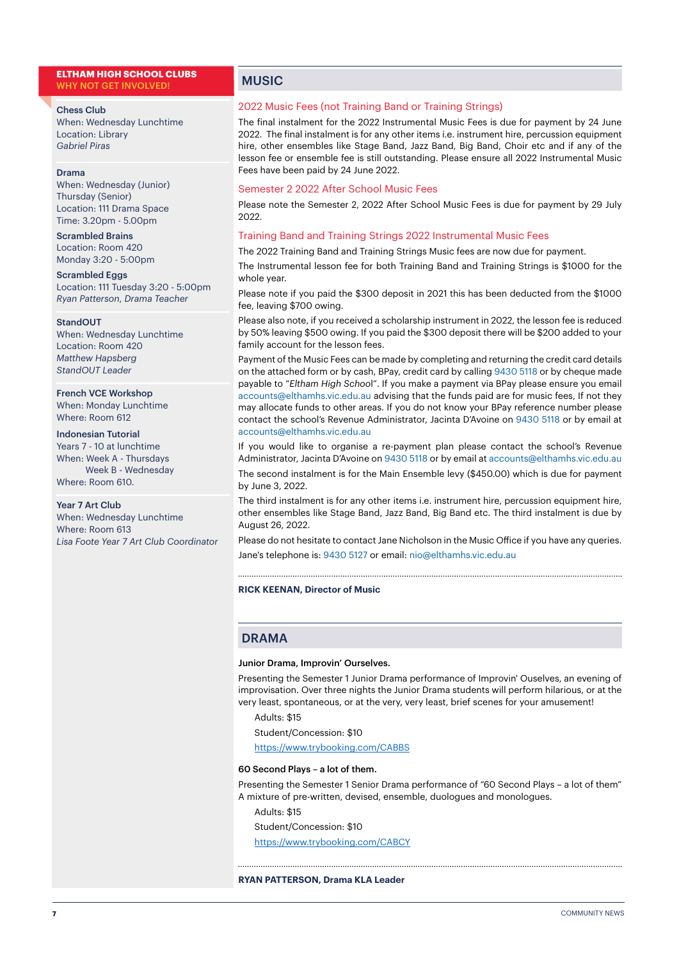#### **ELTHAM HIGH SCHOOL CLUBS** WHY NOT GET INVOLVED!

#### Chess Club

When: Wednesday Lunchtime Location: Library *Gabriel Piras*

#### Drama

When: Wednesday (Junior) Thursday (Senior) Location: 111 Drama Space Time: 3.20pm - 5.00pm

Scrambled Brains Location: Room 420 Monday 3:20 - 5:00pm

Scrambled Eggs Location: 111 Tuesday 3:20 - 5:00pm *Ryan Patterson*, *Drama Teacher*

#### StandOUT

When: Wednesday Lunchtime Location: Room 420 *Matthew Hapsberg StandOUT Leader*

French VCE Workshop

When: Monday Lunchtime Where: Room 612

# Indonesian Tutorial

Years 7 - 10 at lunchtime When: Week A - Thursdays Week B - Wednesday Where: Room 610.

#### Year 7 Art Club

When: Wednesday Lunchtime Where: Room 613 *Lisa Foote Year 7 Art Club Coordinator*

# **MUSIC**

#### 2022 Music Fees (not Training Band or Training Strings)

The final instalment for the 2022 Instrumental Music Fees is due for payment by 24 June 2022. The final instalment is for any other items i.e. instrument hire, percussion equipment hire, other ensembles like Stage Band, Jazz Band, Big Band, Choir etc and if any of the lesson fee or ensemble fee is still outstanding. Please ensure all 2022 Instrumental Music Fees have been paid by 24 June 2022.

#### Semester 2 2022 After School Music Fees

Please note the Semester 2, 2022 After School Music Fees is due for payment by 29 July 2022.

#### Training Band and Training Strings 2022 Instrumental Music Fees

The 2022 Training Band and Training Strings Music fees are now due for payment.

The Instrumental lesson fee for both Training Band and Training Strings is \$1000 for the whole year.

Please note if you paid the \$300 deposit in 2021 this has been deducted from the \$1000 fee, leaving \$700 owing.

Please also note, if you received a scholarship instrument in 2022, the lesson fee is reduced by 50% leaving \$500 owing. If you paid the \$300 deposit there will be \$200 added to your family account for the lesson fees.

Payment of the Music Fees can be made by completing and returning the credit card details on the attached form or by cash, BPay, credit card by calling 9430 5118 or by cheque made payable to "*Eltham High Schoo*l". If you make a payment via BPay please ensure you email accounts@elthamhs.vic.edu.au advising that the funds paid are for music fees, If not they may allocate funds to other areas. If you do not know your BPay reference number please contact the school's Revenue Administrator, Jacinta D'Avoine on 9430 5118 or by email at accounts@elthamhs.vic.edu.au

If you would like to organise a re-payment plan please contact the school's Revenue Administrator, Jacinta D'Avoine on 9430 5118 or by email at accounts@elthamhs.vic.edu.au

The second instalment is for the Main Ensemble levy (\$450.00) which is due for payment by June 3, 2022.

The third instalment is for any other items i.e. instrument hire, percussion equipment hire, other ensembles like Stage Band, Jazz Band, Big Band etc. The third instalment is due by August 26, 2022.

Please do not hesitate to contact Jane Nicholson in the Music Office if you have any queries. Jane's telephone is: 9430 5127 or email: nio@elthamhs.vic.edu.au

#### **RICK KEENAN, Director of Music**

#### DRAMA

#### Junior Drama, Improvin' Ourselves.

Presenting the Semester 1 Junior Drama performance of Improvin' Ouselves, an evening of improvisation. Over three nights the Junior Drama students will perform hilarious, or at the very least, spontaneous, or at the very, very least, brief scenes for your amusement!

#### Adults: \$15

Student/Concession: \$10

<https://www.trybooking.com/CABBS>

#### 60 Second Plays – a lot of them.

Presenting the Semester 1 Senior Drama performance of "60 Second Plays – a lot of them" A mixture of pre-written, devised, ensemble, duologues and monologues.

Adults: \$15

Student/Concession: \$10

<https://www.trybooking.com/CABCY>

#### **RYAN PATTERSON, Drama KLA Leader**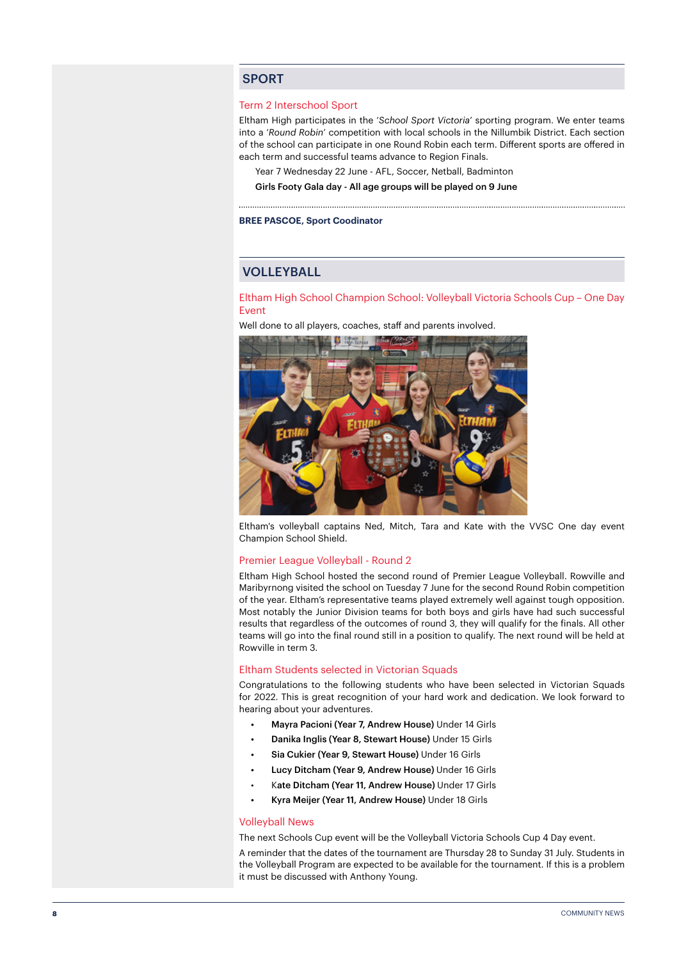### SPORT

#### Term 2 Interschool Sport

Eltham High participates in the '*School Sport Victoria*' sporting program. We enter teams into a '*Round Robin*' competition with local schools in the Nillumbik District. Each section of the school can participate in one Round Robin each term. Different sports are offered in each term and successful teams advance to Region Finals.

Year 7 Wednesday 22 June - AFL, Soccer, Netball, Badminton

Girls Footy Gala day - All age groups will be played on 9 June

#### **BREE PASCOE, Sport Coodinator**

# VOLLEYBALL

Eltham High School Champion School: Volleyball Victoria Schools Cup – One Day Event

Well done to all players, coaches, staff and parents involved.



Eltham's volleyball captains Ned, Mitch, Tara and Kate with the VVSC One day event Champion School Shield.

#### Premier League Volleyball - Round 2

Eltham High School hosted the second round of Premier League Volleyball. Rowville and Maribyrnong visited the school on Tuesday 7 June for the second Round Robin competition of the year. Eltham's representative teams played extremely well against tough opposition. Most notably the Junior Division teams for both boys and girls have had such successful results that regardless of the outcomes of round 3, they will qualify for the finals. All other teams will go into the final round still in a position to qualify. The next round will be held at Rowville in term 3.

#### Eltham Students selected in Victorian Squads

Congratulations to the following students who have been selected in Victorian Squads for 2022. This is great recognition of your hard work and dedication. We look forward to hearing about your adventures.

- Mayra Pacioni (Year 7, Andrew House) Under 14 Girls
- Danika Inglis (Year 8, Stewart House) Under 15 Girls
- Sia Cukier (Year 9, Stewart House) Under 16 Girls
- Lucy Ditcham (Year 9, Andrew House) Under 16 Girls
- Kate Ditcham (Year 11, Andrew House) Under 17 Girls
- Kyra Meijer (Year 11, Andrew House) Under 18 Girls

#### Volleyball News

The next Schools Cup event will be the Volleyball Victoria Schools Cup 4 Day event.

A reminder that the dates of the tournament are Thursday 28 to Sunday 31 July. Students in the Volleyball Program are expected to be available for the tournament. If this is a problem it must be discussed with Anthony Young.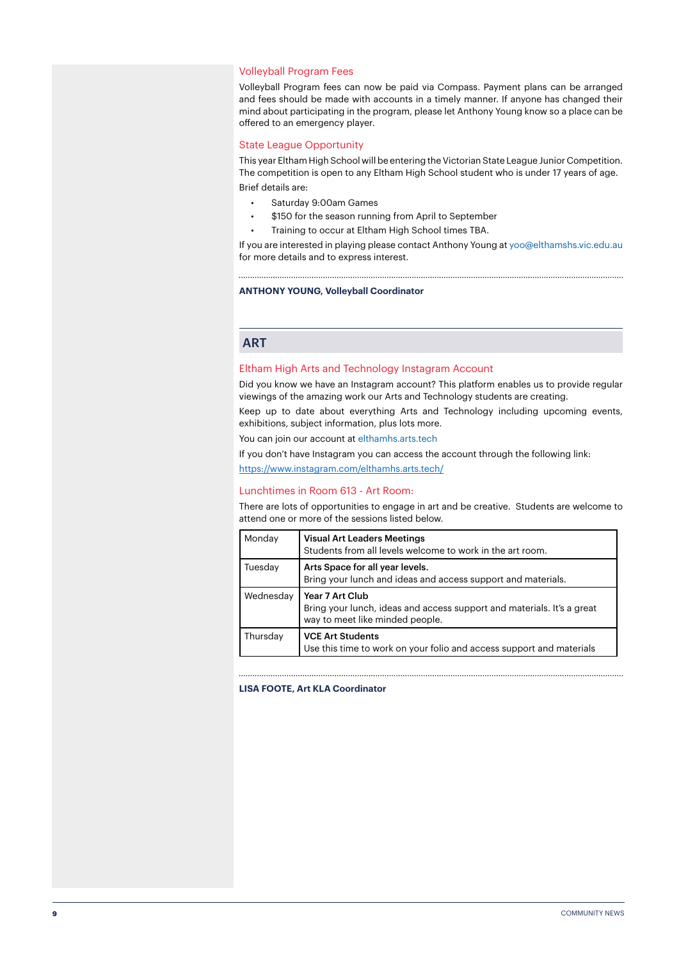#### Volleyball Program Fees

Volleyball Program fees can now be paid via Compass. Payment plans can be arranged and fees should be made with accounts in a timely manner. If anyone has changed their mind about participating in the program, please let Anthony Young know so a place can be offered to an emergency player.

#### State League Opportunity

This year Eltham High School will be entering the Victorian State League Junior Competition. The competition is open to any Eltham High School student who is under 17 years of age. Brief details are:

- Saturday 9:00am Games
- \$150 for the season running from April to September
- Training to occur at Eltham High School times TBA.

If you are interested in playing please contact Anthony Young at yoo@elthamshs.vic.edu.au for more details and to express interest.

**ANTHONY YOUNG, Volleyball Coordinator**

# **ART**

#### Eltham High Arts and Technology Instagram Account

Did you know we have an Instagram account? This platform enables us to provide regular viewings of the amazing work our Arts and Technology students are creating.

Keep up to date about everything Arts and Technology including upcoming events, exhibitions, subject information, plus lots more.

You can join our account at elthamhs.arts.tech

If you don't have Instagram you can access the account through the following link:

<https://www.instagram.com/elthamhs.arts.tech/>

#### Lunchtimes in Room 613 - Art Room:

There are lots of opportunities to engage in art and be creative. Students are welcome to attend one or more of the sessions listed below.

| Monday    | <b>Visual Art Leaders Meetings</b><br>Students from all levels welcome to work in the art room.                              |
|-----------|------------------------------------------------------------------------------------------------------------------------------|
| Tuesday   | Arts Space for all year levels.<br>Bring your lunch and ideas and access support and materials.                              |
| Wednesday | Year 7 Art Club<br>Bring your lunch, ideas and access support and materials. It's a great<br>way to meet like minded people. |
| Thursday  | <b>VCE Art Students</b><br>Use this time to work on your folio and access support and materials                              |

#### **LISA FOOTE, Art KLA Coordinator**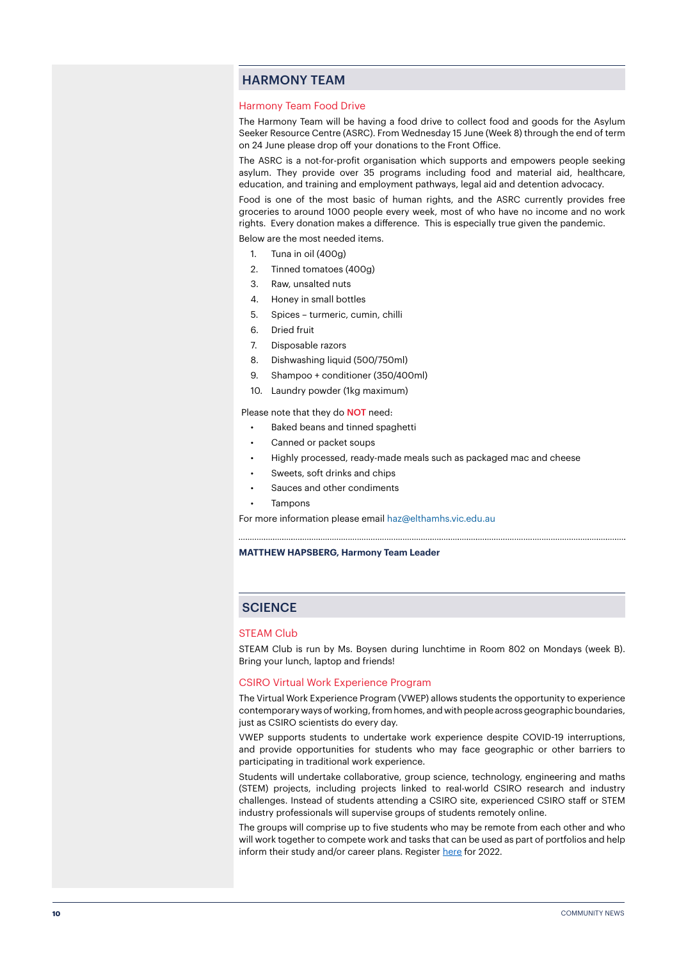# HARMONY TEAM

#### Harmony Team Food Drive

The Harmony Team will be having a food drive to collect food and goods for the Asylum Seeker Resource Centre (ASRC). From Wednesday 15 June (Week 8) through the end of term on 24 June please drop off your donations to the Front Office.

The ASRC is a not-for-profit organisation which supports and empowers people seeking asylum. They provide over 35 programs including food and material aid, healthcare, education, and training and employment pathways, legal aid and detention advocacy.

Food is one of the most basic of human rights, and the ASRC currently provides free groceries to around 1000 people every week, most of who have no income and no work rights. Every donation makes a difference. This is especially true given the pandemic.

- Below are the most needed items.
	- 1. Tuna in oil (400g)
	- 2. Tinned tomatoes (400g)
	- 3. Raw, unsalted nuts
	- 4. Honey in small bottles
	- 5. Spices turmeric, cumin, chilli
	- 6. Dried fruit
	- 7. Disposable razors
	- 8. Dishwashing liquid (500/750ml)
	- 9. Shampoo + conditioner (350/400ml)
	- 10. Laundry powder (1kg maximum)

Please note that they do **NOT** need:

- Baked beans and tinned spaghetti
- Canned or packet soups
- Highly processed, ready-made meals such as packaged mac and cheese

- Sweets, soft drinks and chips
- Sauces and other condiments
- Tampons

For more information please email haz@elthamhs.vic.edu.au

#### **MATTHEW HAPSBERG, Harmony Team Leader**

# **SCIENCE**

#### STEAM Club

STEAM Club is run by Ms. Boysen during lunchtime in Room 802 on Mondays (week B). Bring your lunch, laptop and friends!

#### CSIRO Virtual Work Experience Program

The Virtual Work Experience Program (VWEP) allows students the opportunity to experience contemporary ways of working, from homes, and with people across geographic boundaries, just as CSIRO scientists do every day.

VWEP supports students to undertake work experience despite COVID-19 interruptions, and provide opportunities for students who may face geographic or other barriers to participating in traditional work experience.

Students will undertake collaborative, group science, technology, engineering and maths (STEM) projects, including projects linked to real-world CSIRO research and industry challenges. Instead of students attending a CSIRO site, experienced CSIRO staff or STEM industry professionals will supervise groups of students remotely online.

The groups will comprise up to five students who may be remote from each other and who will work together to compete work and tasks that can be used as part of portfolios and help inform their study and/or career plans. Register [here](https://www.csiro.au/en/careers/Scholarships-student-opportunities/work-experience?utm_source=Education-and-Outreach-2022_Term_1&utm_medium=newsletter&utm_campaign=Education-and-Outreach) for 2022.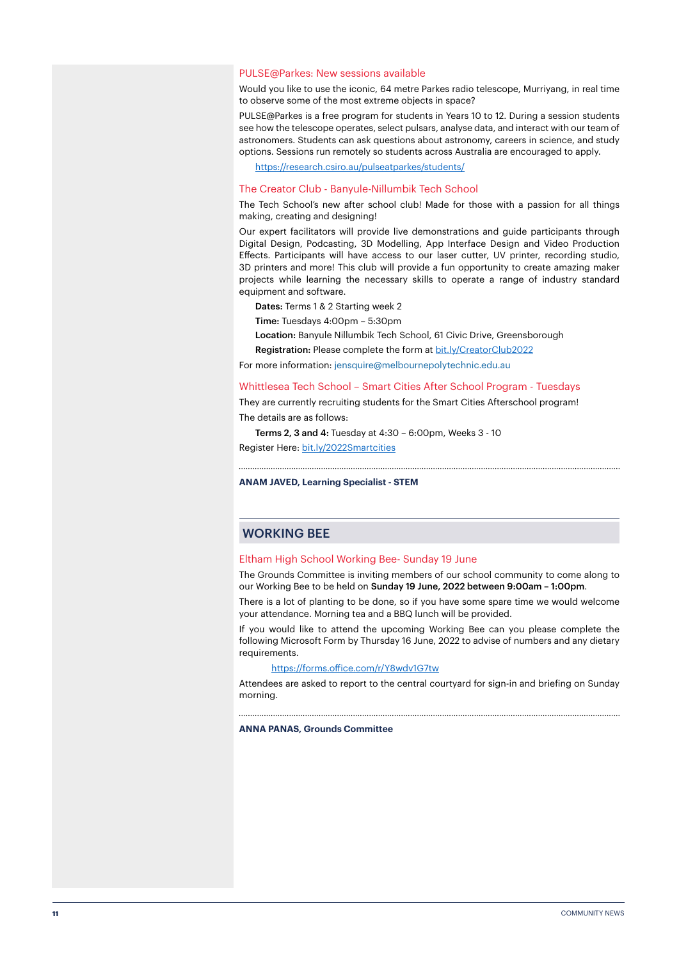#### PULSE@Parkes: New sessions available

Would you like to use the iconic, 64 metre Parkes radio telescope, Murriyang, in real time to observe some of the most extreme objects in space?

PULSE@Parkes is a free program for students in Years 10 to 12. During a session students see how the telescope operates, select pulsars, analyse data, and interact with our team of astronomers. Students can ask questions about astronomy, careers in science, and study options. Sessions run remotely so students across Australia are encouraged to apply.

<https://research.csiro.au/pulseatparkes/students/>

#### The Creator Club - Banyule-Nillumbik Tech School

The Tech School's new after school club! Made for those with a passion for all things making, creating and designing!

Our expert facilitators will provide live demonstrations and guide participants through Digital Design, Podcasting, 3D Modelling, App Interface Design and Video Production Effects. Participants will have access to our laser cutter, UV printer, recording studio, 3D printers and more! This club will provide a fun opportunity to create amazing maker projects while learning the necessary skills to operate a range of industry standard equipment and software.

Dates: Terms 1 & 2 Starting week 2

Time: Tuesdays 4:00pm – 5:30pm

Location: Banyule Nillumbik Tech School, 61 Civic Drive, Greensborough

Registration: Please complete the form at [bit.ly/CreatorClub2022](http://bit.ly/CreatorClub2022)

For more information: jensquire@melbournepolytechnic.edu.au

#### Whittlesea Tech School – Smart Cities After School Program - Tuesdays

They are currently recruiting students for the Smart Cities Afterschool program! The details are as follows:

Terms 2, 3 and 4: Tuesday at 4:30 – 6:00pm, Weeks 3 - 10 Register Here: [bit.ly/2022Smartcities](http://bit.ly/2022Smartcities)

#### **ANAM JAVED, Learning Specialist - STEM**

# WORKING BEE

#### Eltham High School Working Bee- Sunday 19 June

The Grounds Committee is inviting members of our school community to come along to our Working Bee to be held on Sunday 19 June, 2022 between 9:00am – 1:00pm.

There is a lot of planting to be done, so if you have some spare time we would welcome your attendance. Morning tea and a BBQ lunch will be provided.

If you would like to attend the upcoming Working Bee can you please complete the following Microsoft Form by Thursday 16 June, 2022 to advise of numbers and any dietary requirements.

#### <https://forms.office.com/r/Y8wdv1G7tw>

Attendees are asked to report to the central courtyard for sign-in and briefing on Sunday morning.

**ANNA PANAS, Grounds Committee**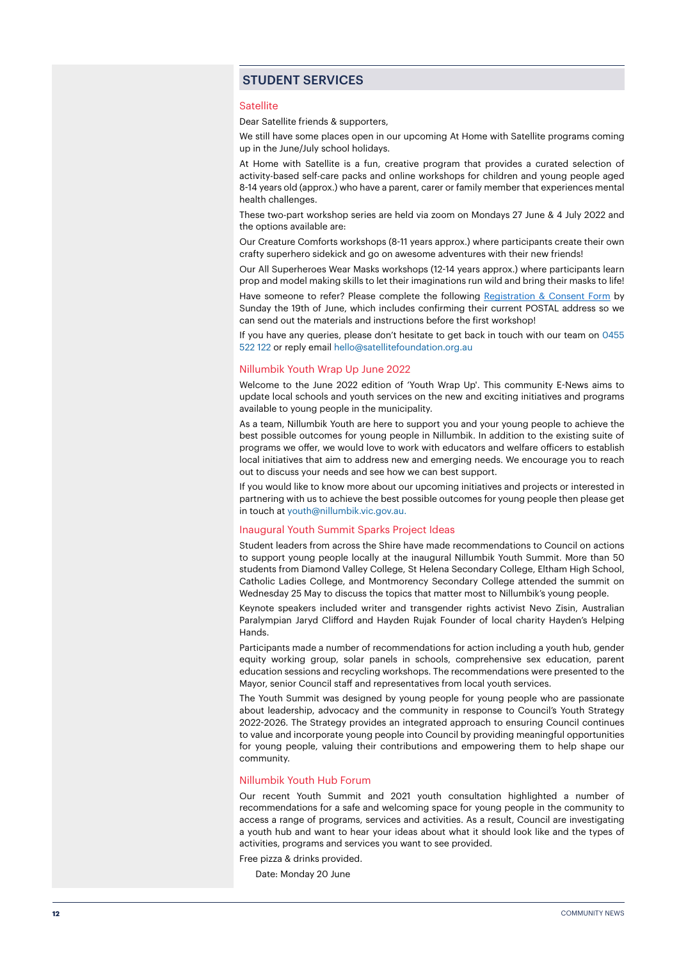# STUDENT SERVICES

#### **Satellite**

Dear Satellite friends & supporters,

We still have some places open in our upcoming At Home with Satellite programs coming up in the June/July school holidays.

At Home with Satellite is a fun, creative program that provides a curated selection of activity-based self-care packs and online workshops for children and young people aged 8-14 years old (approx.) who have a parent, carer or family member that experiences mental health challenges.

These two-part workshop series are held via zoom on Mondays 27 June & 4 July 2022 and the options available are:

Our Creature Comforts workshops (8-11 years approx.) where participants create their own crafty superhero sidekick and go on awesome adventures with their new friends!

Our All Superheroes Wear Masks workshops (12-14 years approx.) where participants learn prop and model making skills to let their imaginations run wild and bring their masks to life!

Have someone to refer? Please complete the following [Registration & Consent Form](https://forms.zohopublic.com.au/satellitefoundation/form/AtHomewithSatelliteConsentFormJuneJuly2022/formperma/wtVjurayPPPHwXn-zvkpnQ7URuuLRSuh2GdKpc82foU) by Sunday the 19th of June, which includes confirming their current POSTAL address so we can send out the materials and instructions before the first workshop!

If you have any queries, please don't hesitate to get back in touch with our team on 0455 522 122 or reply email hello@satellitefoundation.org.au

#### Nillumbik Youth Wrap Up June 2022

Welcome to the June 2022 edition of 'Youth Wrap Up'. This community E-News aims to update local schools and youth services on the new and exciting initiatives and programs available to young people in the municipality.

As a team, Nillumbik Youth are here to support you and your young people to achieve the best possible outcomes for young people in Nillumbik. In addition to the existing suite of programs we offer, we would love to work with educators and welfare officers to establish local initiatives that aim to address new and emerging needs. We encourage you to reach out to discuss your needs and see how we can best support.

If you would like to know more about our upcoming initiatives and projects or interested in partnering with us to achieve the best possible outcomes for young people then please get in touch at youth@nillumbik.vic.gov.au.

#### Inaugural Youth Summit Sparks Project Ideas

Student leaders from across the Shire have made recommendations to Council on actions to support young people locally at the inaugural Nillumbik Youth Summit. More than 50 students from Diamond Valley College, St Helena Secondary College, Eltham High School, Catholic Ladies College, and Montmorency Secondary College attended the summit on Wednesday 25 May to discuss the topics that matter most to Nillumbik's young people.

Keynote speakers included writer and transgender rights activist Nevo Zisin, Australian Paralympian Jaryd Clifford and Hayden Rujak Founder of local charity Hayden's Helping Hands.

Participants made a number of recommendations for action including a youth hub, gender equity working group, solar panels in schools, comprehensive sex education, parent education sessions and recycling workshops. The recommendations were presented to the Mayor, senior Council staff and representatives from local youth services.

The Youth Summit was designed by young people for young people who are passionate about leadership, advocacy and the community in response to Council's Youth Strategy 2022-2026. The Strategy provides an integrated approach to ensuring Council continues to value and incorporate young people into Council by providing meaningful opportunities for young people, valuing their contributions and empowering them to help shape our community.

#### Nillumbik Youth Hub Forum

Our recent Youth Summit and 2021 youth consultation highlighted a number of recommendations for a safe and welcoming space for young people in the community to access a range of programs, services and activities. As a result, Council are investigating a youth hub and want to hear your ideas about what it should look like and the types of activities, programs and services you want to see provided.

Free pizza & drinks provided.

Date: Monday 20 June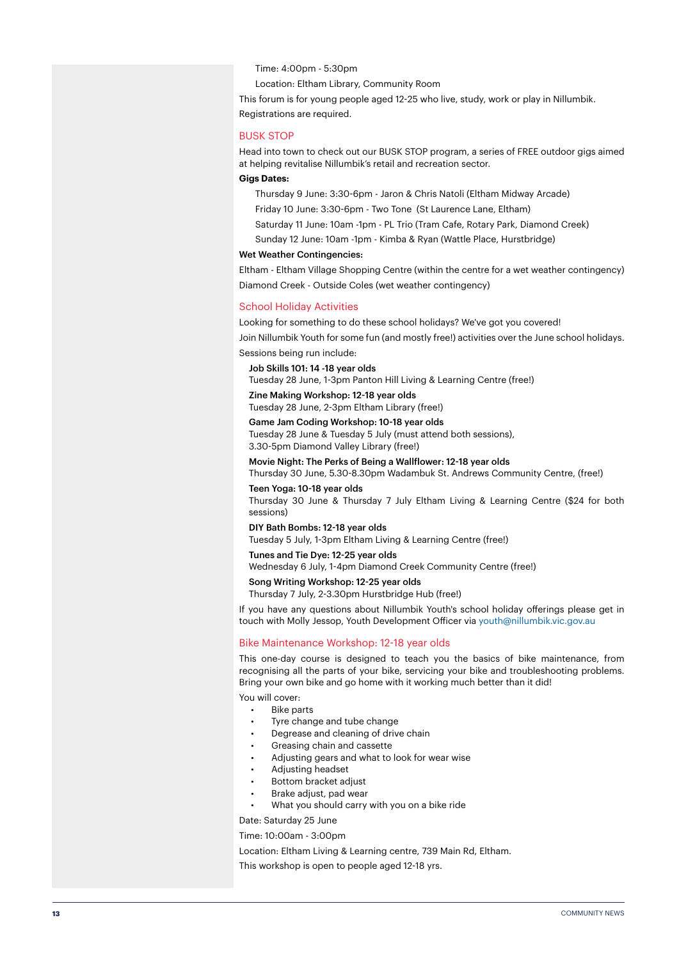Time: 4:00pm - 5:30pm

Location: Eltham Library, Community Room

This forum is for young people aged 12-25 who live, study, work or play in Nillumbik. Registrations are required.

#### BUSK STOP

Head into town to check out our BUSK STOP program, a series of FREE outdoor gigs aimed at helping revitalise Nillumbik's retail and recreation sector.

#### **Gigs Dates:**

Thursday 9 June: 3:30-6pm - Jaron & Chris Natoli (Eltham Midway Arcade)

Friday 10 June: 3:30-6pm - Two Tone (St Laurence Lane, Eltham)

- Saturday 11 June: 10am -1pm PL Trio (Tram Cafe, Rotary Park, Diamond Creek)
- Sunday 12 June: 10am -1pm Kimba & Ryan (Wattle Place, Hurstbridge)

#### Wet Weather Contingencies:

Eltham - Eltham Village Shopping Centre (within the centre for a wet weather contingency) Diamond Creek - Outside Coles (wet weather contingency)

#### School Holiday Activities

Looking for something to do these school holidays? We've got you covered! Join Nillumbik Youth for some fun (and mostly free!) activities over the June school holidays.

Sessions being run include:

Job Skills 101: 14 -18 year olds

Tuesday 28 June, 1-3pm Panton Hill Living & Learning Centre (free!)

Zine Making Workshop: 12-18 year olds Tuesday 28 June, 2-3pm Eltham Library (free!)

Game Jam Coding Workshop: 10-18 year olds

Tuesday 28 June & Tuesday 5 July (must attend both sessions), 3.30-5pm Diamond Valley Library (free!)

Movie Night: The Perks of Being a Wallflower: 12-18 year olds Thursday 30 June, 5.30-8.30pm Wadambuk St. Andrews Community Centre, (free!)

Teen Yoga: 10-18 year olds Thursday 30 June & Thursday 7 July Eltham Living & Learning Centre (\$24 for both sessions)

# DIY Bath Bombs: 12-18 year olds

Tuesday 5 July, 1-3pm Eltham Living & Learning Centre (free!)

Tunes and Tie Dye: 12-25 year olds Wednesday 6 July, 1-4pm Diamond Creek Community Centre (free!)

Song Writing Workshop: 12-25 year olds

Thursday 7 July, 2-3.30pm Hurstbridge Hub (free!)

If you have any questions about Nillumbik Youth's school holiday offerings please get in touch with Molly Jessop, Youth Development Officer via youth@nillumbik.vic.gov.au

#### Bike Maintenance Workshop: 12-18 year olds

This one-day course is designed to teach you the basics of bike maintenance, from recognising all the parts of your bike, servicing your bike and troubleshooting problems. Bring your own bike and go home with it working much better than it did!

You will cover:

- **Bike parts**
- Tyre change and tube change
- Degrease and cleaning of drive chain
- Greasing chain and cassette
- Adjusting gears and what to look for wear wise
- Adjusting headset
- Bottom bracket adjust
- Brake adjust, pad wear
- What you should carry with you on a bike ride

Date: Saturday 25 June

#### Time: 10:00am - 3:00pm

Location: Eltham Living & Learning centre, 739 Main Rd, Eltham.

This workshop is open to people aged 12-18 yrs.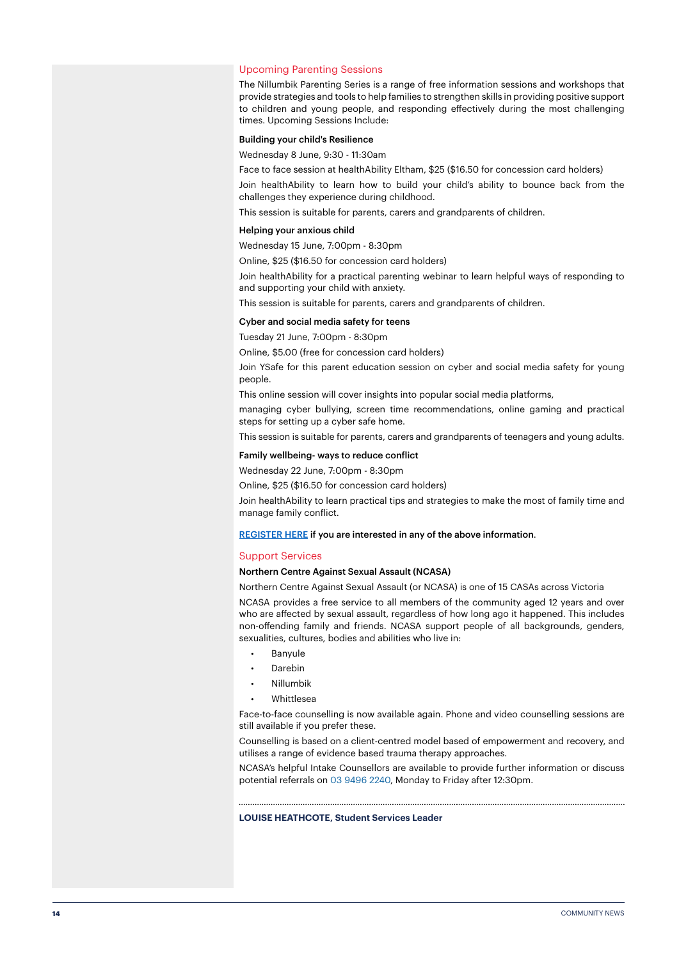#### Upcoming Parenting Sessions

The Nillumbik Parenting Series is a range of free information sessions and workshops that provide strategies and tools to help families to strengthen skills in providing positive support to children and young people, and responding effectively during the most challenging times. Upcoming Sessions Include:

#### Building your child's Resilience

Wednesday 8 June, 9:30 - 11:30am

Face to face session at healthAbility Eltham, \$25 (\$16.50 for concession card holders)

Join healthAbility to learn how to build your child's ability to bounce back from the challenges they experience during childhood.

This session is suitable for parents, carers and grandparents of children.

#### Helping your anxious child

Wednesday 15 June, 7:00pm - 8:30pm

Online, \$25 (\$16.50 for concession card holders)

Join healthAbility for a practical parenting webinar to learn helpful ways of responding to and supporting your child with anxiety.

This session is suitable for parents, carers and grandparents of children.

#### Cyber and social media safety for teens

Tuesday 21 June, 7:00pm - 8:30pm

Online, \$5.00 (free for concession card holders)

Join YSafe for this parent education session on cyber and social media safety for young people.

This online session will cover insights into popular social media platforms,

managing cyber bullying, screen time recommendations, online gaming and practical steps for setting up a cyber safe home.

This session is suitable for parents, carers and grandparents of teenagers and young adults.

Family wellbeing- ways to reduce conflict

Wednesday 22 June, 7:00pm - 8:30pm

Online, \$25 (\$16.50 for concession card holders)

Join healthAbility to learn practical tips and strategies to make the most of family time and manage family conflict.

#### [REGISTER HERE](https://mailchi.mp/7d4659186c4c/nillumbik-youth-school-wrap-up-november-edition-15683284?e=9ca32adc57) if you are interested in any of the above information.

#### Support Services

#### Northern Centre Against Sexual Assault (NCASA)

Northern Centre Against Sexual Assault (or NCASA) is one of 15 CASAs across Victoria

NCASA provides a free service to all members of the community aged 12 years and over who are affected by sexual assault, regardless of how long ago it happened. This includes non-offending family and friends. NCASA support people of all backgrounds, genders, sexualities, cultures, bodies and abilities who live in:

- Banyule
- Darebin
- Nillumbik
- Whittlesea

Face-to-face counselling is now available again. Phone and video counselling sessions are still available if you prefer these.

Counselling is based on a client-centred model based of empowerment and recovery, and utilises a range of evidence based trauma therapy approaches.

NCASA's helpful Intake Counsellors are available to provide further information or discuss potential referrals on 03 9496 2240, Monday to Friday after 12:30pm.

#### **LOUISE HEATHCOTE, Student Services Leader**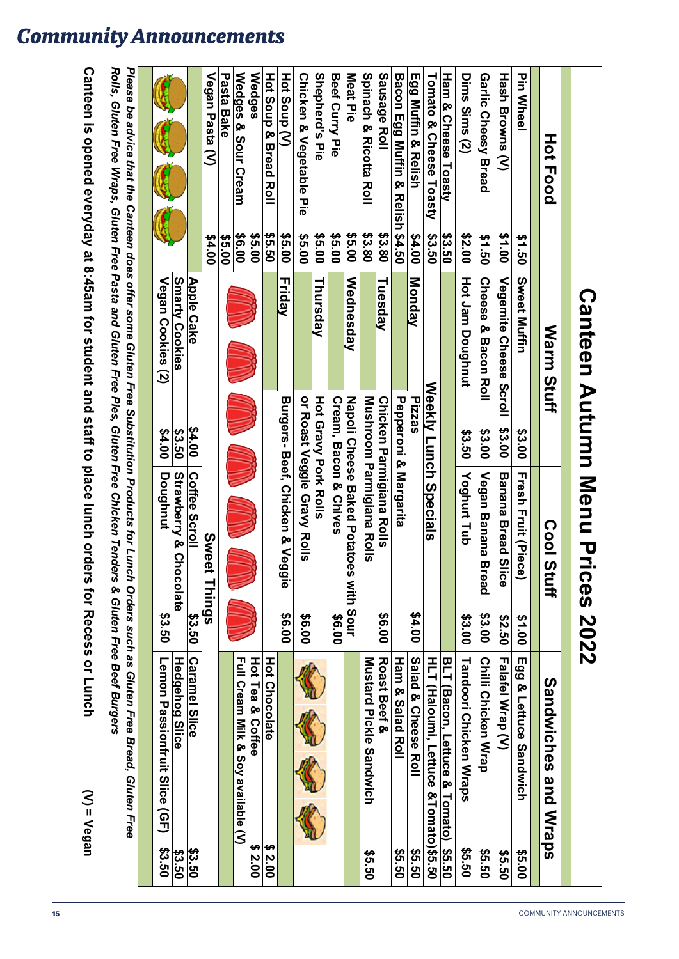|                                                                                               |               |                               |                       | <b>Canteen Autumn Menu Prices 2022</b>                   |           |                                                                                                                                                                       |               |
|-----------------------------------------------------------------------------------------------|---------------|-------------------------------|-----------------------|----------------------------------------------------------|-----------|-----------------------------------------------------------------------------------------------------------------------------------------------------------------------|---------------|
| HOT<br><b>Food</b>                                                                            |               | Warm<br><b>Stuff</b>          |                       | <b>Cool</b><br>Stuff                                     |           | <b>Sandwiches</b><br>and<br><b>Mraps</b>                                                                                                                              |               |
| <b>Pin Wheel</b>                                                                              | \$1.50        | Sweet Muffin                  | \$3.00                | <b>Fresh Fruit (Piece)</b>                               | \$1.00    | Egg & Lettuce Sandwich                                                                                                                                                | \$5.00        |
| <b>Hash Browns (V)</b>                                                                        | \$1.00        | Vegemite Cheese Scroll        | \$3.00                | <b>Banana Bread Slice</b>                                | 09.50     | Falafel Wrap (V)                                                                                                                                                      | 09.50         |
| Garlic Cheey Bread                                                                            | \$1.50        | Cheese &<br><b>Bacon Roll</b> | \$3.00                | <b>Vegan Banana Bread</b>                                | \$3.00    | <b>Chili Chicken Wrap</b>                                                                                                                                             | <b>\$5.50</b> |
| Dims Sims (2)                                                                                 | \$2.00        | Hot Jam Doughnut              | \$3.50                | Yoghurt Tub                                              | \$3.00    | Tandoori Chicken Wraps                                                                                                                                                | <b>\$5.50</b> |
| Ham & Cheese Toasty                                                                           | \$3.50        |                               |                       |                                                          |           | <b>BLT</b><br>(Bacon, Lettuce & Tomato)                                                                                                                               | \$5.50        |
| Tomato & Cheese Toasty                                                                        | \$3.50        |                               |                       | Weekly Lunch Specials                                    |           | HLT (Haloumi, Lettuce &Tomato)\$5.50                                                                                                                                  |               |
| Egg Muffin & Relish                                                                           | 00'7\$        | Monday                        | Pizzas                |                                                          | \$4.00    | Salad & Cheese Roll                                                                                                                                                   | 09.50         |
| Bacon Egg Muffin & Relish \$4.50                                                              |               |                               | Pepperoni & Margarita |                                                          |           | Ham & Salad Roll                                                                                                                                                      | 09.50         |
| Sausage Roll                                                                                  | \$3.80        | Tuesday                       |                       | Chicken Parmigiana Rolls                                 | 00.9\$    | Roast Beef &                                                                                                                                                          |               |
| <b>Spirach &amp; Ricotta Roll</b>                                                             | \$3.80        |                               |                       | Mushroom Parmigiana Rolls                                |           | <b>Nustard Pickle Sandwich</b>                                                                                                                                        | 09.50         |
| Meat Pie                                                                                      | \$5.00        | Wednesday                     |                       | Napoli Creese Baked Potatoes                             | with Sour |                                                                                                                                                                       |               |
| <b>Beef Curry Pie</b>                                                                         | \$5.00        |                               |                       | <b>Cream, Bacon &amp; Chives</b>                         | 00.9\$    |                                                                                                                                                                       |               |
| Shepherd's Pie                                                                                | \$5.00        | Thursday                      | Hot Gravy Pork Rolls  |                                                          |           |                                                                                                                                                                       |               |
| Chicken &<br>Vegetable Pie                                                                    | 00.9\$        |                               |                       | or Roast Veggie Gravy Rolls                              | 00.9\$    |                                                                                                                                                                       |               |
| Hot Soup (V)                                                                                  | \$5.00        | Friday                        |                       | Burgers-Beef, Chicken & Vegg<br>$\bar{\bar{\mathsf{o}}}$ | 00.9\$    |                                                                                                                                                                       |               |
| Hot Soup & Bread Roll                                                                         | <b>\$5.50</b> |                               |                       |                                                          |           | <b>Hot Chocolate</b>                                                                                                                                                  | \$2.00        |
| <b>Wedges</b>                                                                                 | \$5.00        |                               |                       |                                                          |           | <u>Hot Tea &amp; Coffee</u>                                                                                                                                           | \$2.00        |
| Wedges &<br>Sour Cream                                                                        | 00.9\$        |                               |                       |                                                          |           | Full Cream Milk & Soy available (V)                                                                                                                                   |               |
| Pasta Bake                                                                                    | \$5.00        |                               |                       |                                                          |           |                                                                                                                                                                       |               |
| Vegan Pasta (V)                                                                               | 00'7\$        |                               |                       | Sweet<br><b>Things</b>                                   |           |                                                                                                                                                                       |               |
|                                                                                               |               | <b>Apple Cake</b>             | \$4.00                |                                                          | \$3.50    | <b>Caramel Slice</b>                                                                                                                                                  | \$3.50        |
|                                                                                               |               | <b>Smarty Cookies</b>         | \$3.50                | Coffee Scroll                                            |           | <u>Hedgehog Slice</u>                                                                                                                                                 | \$3.50        |
|                                                                                               |               |                               | \$4.00                |                                                          | 33.50     | <b>Lemon Passiontruit Slice (QP)</b>                                                                                                                                  | <b>\$3.50</b> |
|                                                                                               |               | Vegan Cookies (2)             |                       | Doughnut<br>Strawberry & Chocolate                       |           |                                                                                                                                                                       |               |
| Rolls, Gluten Free Wraps, Gluten Free Pasta and Gluten Free Pies, Gluten Free Chicken Tenders |               |                               |                       |                                                          |           | Please be advice that the Canteen does offer some Gluter Substitution Pree Substitution Products such as Gluten Free Bread, Gluten Free<br>& Gluten Free Beef Burgers |               |
| Canteen is opened everyday at 8:45am for student and staff to place lunch orders              |               |                               |                       |                                                          |           | tor Recess or Lunch<br>$(N) = V$ egan                                                                                                                                 |               |

# **Community Announcements**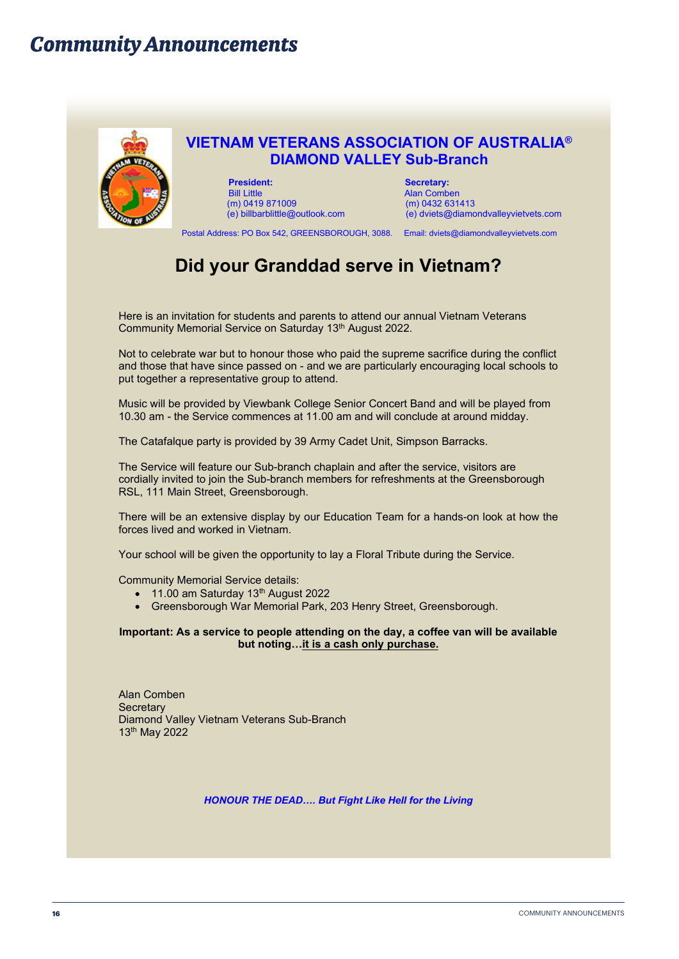# **Community Announcements**



# **VIETNAM VETERANS ASSOCIATION OF AUSTRALIA® DIAMOND VALLEY Sub-Branch**

**President:** Secretary: Secretary: Secretary: Secretary: Secretary: Secretary: Secretary: Secretary: Secretary: Secretary: Secretary: Secretary: Secretary: Secretary: Secretary: Secretary: Secretary: Secretary: Secretary: (m) 0419 871009

Alan Comben<br>(m) 0432 631413 (e) billbarblittle@outlook.com (e) dviets@diamondvalleyvietvets.com

Postal Address: PO Box 542, GREENSBOROUGH, 3088. Email: dviets@diamondvalleyvietvets.com

# **Did your Granddad serve in Vietnam?**

Here is an invitation for students and parents to attend our annual Vietnam Veterans Community Memorial Service on Saturday 13th August 2022.

Not to celebrate war but to honour those who paid the supreme sacrifice during the conflict and those that have since passed on - and we are particularly encouraging local schools to put together a representative group to attend.

Music will be provided by Viewbank College Senior Concert Band and will be played from 10.30 am - the Service commences at 11.00 am and will conclude at around midday.

The Catafalque party is provided by 39 Army Cadet Unit, Simpson Barracks.

The Service will feature our Sub-branch chaplain and after the service, visitors are cordially invited to join the Sub-branch members for refreshments at the Greensborough RSL, 111 Main Street, Greensborough.

There will be an extensive display by our Education Team for a hands-on look at how the forces lived and worked in Vietnam.

Your school will be given the opportunity to lay a Floral Tribute during the Service.

Community Memorial Service details:

- $\bullet$  11.00 am Saturday 13<sup>th</sup> August 2022
- Greensborough War Memorial Park, 203 Henry Street, Greensborough.

**Important: As a service to people attending on the day, a coffee van will be available but noting…it is a cash only purchase.**

Alan Comben **Secretary** Diamond Valley Vietnam Veterans Sub-Branch 13th May 2022

*HONOUR THE DEAD…. But Fight Like Hell for the Living*